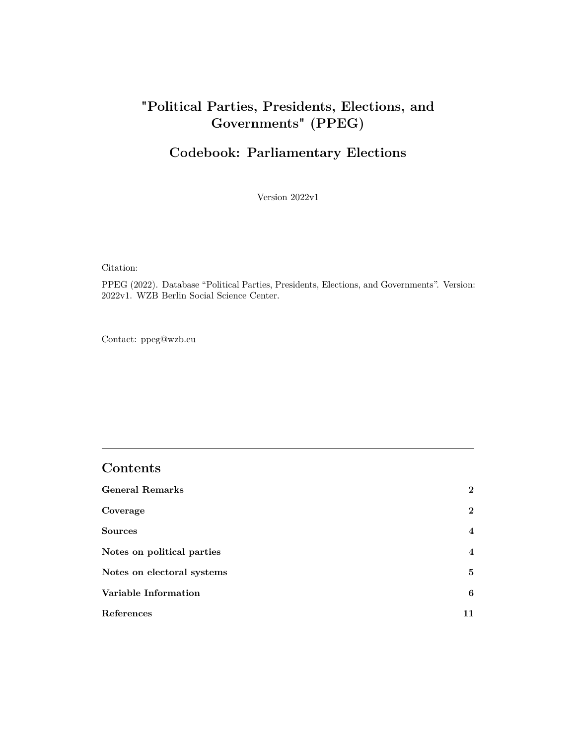## <span id="page-0-0"></span>**"Political Parties, Presidents, Elections, and Governments" (PPEG)**

## **Codebook: Parliamentary Elections**

Version 2022v1

Citation:

PPEG (2022). Database "Political Parties, Presidents, Elections, and Governments". Version: 2022v1. WZB Berlin Social Science Center.

Contact:<ppeg@wzb.eu>

### **Contents**

| <b>General Remarks</b>     | $\overline{2}$ |
|----------------------------|----------------|
| Coverage                   | $\mathbf{2}$   |
| <b>Sources</b>             | $\overline{4}$ |
| Notes on political parties | $\overline{4}$ |
| Notes on electoral systems | 5              |
| Variable Information       | 6              |
| References                 | 11             |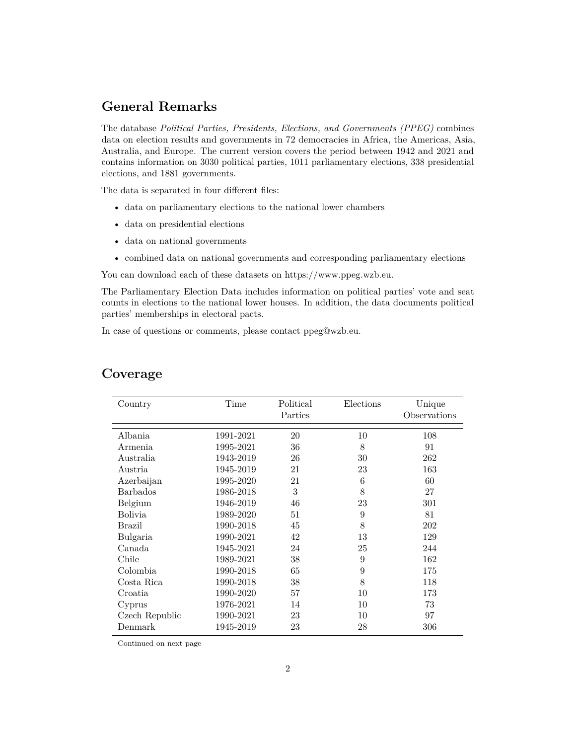### <span id="page-1-0"></span>**General Remarks**

The database *Political Parties, Presidents, Elections, and Governments (PPEG)* combines data on election results and governments in 72 democracies in Africa, the Americas, Asia, Australia, and Europe. The current version covers the period between 1942 and 2021 and contains information on 3030 political parties, 1011 parliamentary elections, 338 presidential elections, and 1881 governments.

The data is separated in four different files:

- data on parliamentary elections to the national lower chambers
- data on presidential elections
- data on national governments
- combined data on national governments and corresponding parliamentary elections

You can download each of these datasets on [https://www.ppeg.wzb.eu.](https://www.ppeg.wzb.eu)

The Parliamentary Election Data includes information on political parties' vote and seat counts in elections to the national lower houses. In addition, the data documents political parties' memberships in electoral pacts.

In case of questions or comments, please contact [ppeg@wzb.eu.](ppeg@wzb.eu)

| Country         | Time      | Political<br>Parties | Elections | Unique<br>Observations |
|-----------------|-----------|----------------------|-----------|------------------------|
| Albania         | 1991-2021 | 20                   | 10        | 108                    |
| Armenia         | 1995-2021 | 36                   | 8         | 91                     |
| Australia       | 1943-2019 | 26                   | 30        | 262                    |
| Austria         | 1945-2019 | 21                   | 23        | 163                    |
| Azerbaijan      | 1995-2020 | 21                   | 6         | 60                     |
| <b>Barbados</b> | 1986-2018 | 3                    | 8         | 27                     |
| Belgium         | 1946-2019 | 46                   | 23        | 301                    |
| <b>Bolivia</b>  | 1989-2020 | 51                   | 9         | 81                     |
| Brazil          | 1990-2018 | 45                   | 8         | 202                    |
| Bulgaria        | 1990-2021 | 42                   | 13        | 129                    |
| Canada          | 1945-2021 | 24                   | 25        | 244                    |
| Chile           | 1989-2021 | 38                   | 9         | 162                    |
| Colombia        | 1990-2018 | 65                   | 9         | 175                    |
| Costa Rica      | 1990-2018 | 38                   | 8         | 118                    |
| Croatia         | 1990-2020 | 57                   | 10        | 173                    |
| Cyprus          | 1976-2021 | 14                   | 10        | 73                     |
| Czech Republic  | 1990-2021 | 23                   | 10        | 97                     |
| Denmark         | 1945-2019 | 23                   | 28        | 306                    |

## <span id="page-1-1"></span>**Coverage**

Continued on next page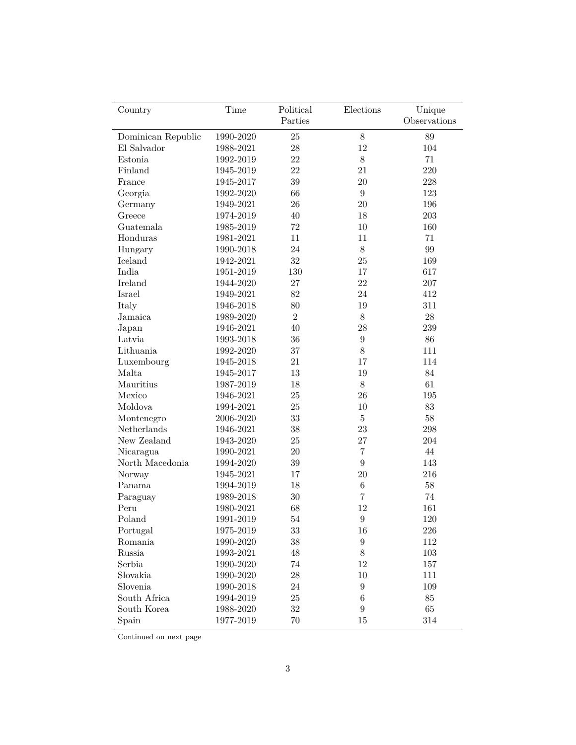| Country            | Time      | Political      | Elections        | Unique       |
|--------------------|-----------|----------------|------------------|--------------|
|                    |           | Parties        |                  | Observations |
| Dominican Republic | 1990-2020 | $25\,$         | $8\,$            | 89           |
| El Salvador        | 1988-2021 | 28             | 12               | 104          |
| Estonia            | 1992-2019 | 22             | $8\,$            | 71           |
| Finland            | 1945-2019 | 22             | 21               | 220          |
| France             | 1945-2017 | 39             | $20\,$           | 228          |
| Georgia            | 1992-2020 | 66             | $\boldsymbol{9}$ | 123          |
| Germany            | 1949-2021 | 26             | $20\,$           | 196          |
| Greece             | 1974-2019 | 40             | 18               | 203          |
| Guatemala          | 1985-2019 | $72\,$         | 10               | 160          |
| Honduras           | 1981-2021 | 11             | 11               | 71           |
| Hungary            | 1990-2018 | 24             | $8\,$            | 99           |
| Iceland            | 1942-2021 | 32             | 25               | 169          |
| India              | 1951-2019 | 130            | 17               | 617          |
| Ireland            | 1944-2020 | 27             | 22               | 207          |
| Israel             | 1949-2021 | 82             | 24               | 412          |
| Italy              | 1946-2018 | 80             | 19               | 311          |
| Jamaica            | 1989-2020 | $\overline{2}$ | $8\,$            | ${\bf 28}$   |
| Japan              | 1946-2021 | 40             | $28\,$           | 239          |
| Latvia             | 1993-2018 | 36             | $\boldsymbol{9}$ | $86\,$       |
| Lithuania          | 1992-2020 | 37             | $8\,$            | 111          |
| Luxembourg         | 1945-2018 | 21             | 17               | 114          |
| Malta              | 1945-2017 | 13             | 19               | 84           |
| Mauritius          | 1987-2019 | 18             | $8\,$            | 61           |
| Mexico             | 1946-2021 | 25             | $26\,$           | 195          |
| Moldova            | 1994-2021 | 25             | 10               | 83           |
| Montenegro         | 2006-2020 | 33             | $\bf 5$          | $58\,$       |
| Netherlands        | 1946-2021 | $38\,$         | $23\,$           | 298          |
| New Zealand        | 1943-2020 | 25             | $27\,$           | 204          |
| Nicaragua          | 1990-2021 | 20             | $\overline{7}$   | 44           |
| North Macedonia    | 1994-2020 | $39\,$         | $\boldsymbol{9}$ | 143          |
| Norway             | 1945-2021 | 17             | 20               | 216          |
| Panama             | 1994-2019 | 18             | $\,6$            | 58           |
| Paraguay           | 1989-2018 | 30             | $\overline{7}$   | 74           |
| Peru               | 1980-2021 | 68             | 12               | 161          |
| Poland             | 1991-2019 | 54             | $\boldsymbol{9}$ | 120          |
| Portugal           | 1975-2019 | 33             | 16               | $226\,$      |
| Romania            | 1990-2020 | $38\,$         | $\boldsymbol{9}$ | 112          |
| Russia             | 1993-2021 | 48             | $8\,$            | $103\,$      |
| Serbia             | 1990-2020 | 74             | $12\,$           | 157          |
| Slovakia           | 1990-2020 | $28\,$         | $10\,$           | 111          |
| Slovenia           | 1990-2018 | 24             | $\boldsymbol{9}$ | 109          |
| South Africa       | 1994-2019 | $25\,$         | $\,6$            | $85\,$       |
| South Korea        | 1988-2020 | $32\,$         | $\boldsymbol{9}$ | 65           |
| Spain              | 1977-2019 | 70             | 15               | 314          |

Continued on next page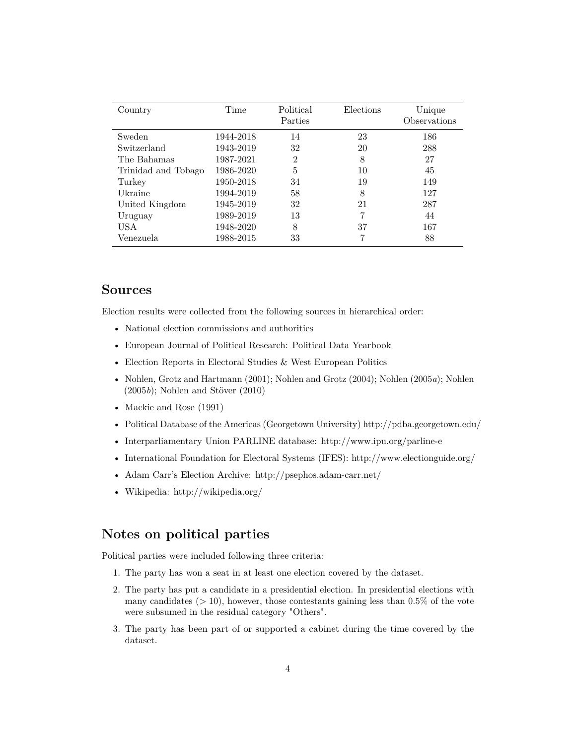| Country             | Time      | Political<br>Parties | Elections | Unique<br>Observations |
|---------------------|-----------|----------------------|-----------|------------------------|
| Sweden              | 1944-2018 | 14                   | 23        | 186                    |
| Switzerland         | 1943-2019 | 32                   | 20        | 288                    |
| The Bahamas         | 1987-2021 | $\overline{2}$       | 8         | 27                     |
| Trinidad and Tobago | 1986-2020 | 5                    | 10        | 45                     |
| Turkey              | 1950-2018 | 34                   | 19        | 149                    |
| Ukraine             | 1994-2019 | 58                   | 8         | 127                    |
| United Kingdom      | 1945-2019 | 32                   | 21        | 287                    |
| Uruguay             | 1989-2019 | 13                   |           | 44                     |
| <b>USA</b>          | 1948-2020 | 8                    | 37        | 167                    |
| Venezuela           | 1988-2015 | 33                   |           | 88                     |

#### <span id="page-3-0"></span>**Sources**

Election results were collected from the following sources in hierarchical order:

- National election commissions and authorities
- European Journal of Political Research: Political Data Yearbook
- Election Reports in Electoral Studies & West European Politics
- [Nohlen, Grotz and Hartmann](#page-10-0) [\(2001\)](#page-10-0); [Nohlen and Grotz](#page-10-1) [\(2004\)](#page-10-1); [Nohlen](#page-10-2) [\(2005](#page-10-2)*a*); [Nohlen](#page-10-3) [\(2005](#page-10-3)*b*); [Nohlen and Stöver](#page-10-4) [\(2010\)](#page-10-4)
- [Mackie and Rose](#page-10-5) [\(1991\)](#page-10-5)
- Political Database of the Americas (Georgetown University)<http://pdba.georgetown.edu/>
- Interparliamentary Union PARLINE database:<http://www.ipu.org/parline-e>
- International Foundation for Electoral Systems (IFES):<http://www.electionguide.org/>
- Adam Carr's Election Archive:<http://psephos.adam-carr.net/>
- Wikipedia:<http://wikipedia.org/>

#### <span id="page-3-1"></span>**Notes on political parties**

Political parties were included following three criteria:

- 1. The party has won a seat in at least one election covered by the dataset.
- 2. The party has put a candidate in a presidential election. In presidential elections with many candidates (*>* 10), however, those contestants gaining less than 0.5% of the vote were subsumed in the residual category "Others".
- 3. The party has been part of or supported a cabinet during the time covered by the dataset.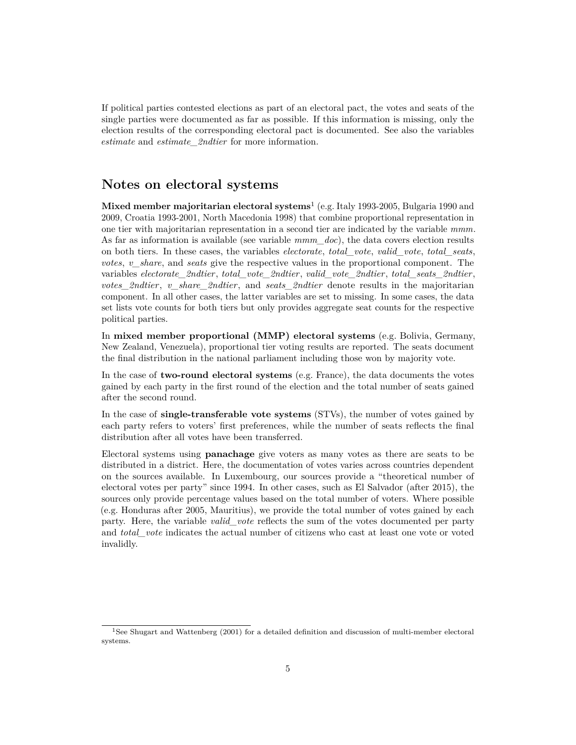If political parties contested elections as part of an electoral pact, the votes and seats of the single parties were documented as far as possible. If this information is missing, only the election results of the corresponding electoral pact is documented. See also the variables *[estimate](#page-7-0)* and *[estimate\\_2ndtier](#page-7-0)* for more information.

#### <span id="page-4-0"></span>**Notes on electoral systems**

**Mixed member majoritarian electoral systems**[1](#page-4-1) (e.g. Italy 1993-2005, Bulgaria 1990 and 2009, Croatia 1993-2001, North Macedonia 1998) that combine proportional representation in one tier with majoritarian representation in a second tier are indicated by the variable *[mmm](#page-5-1)*. As far as information is available (see variable *[mmm\\_doc](#page-0-0)*), the data covers election results on both tiers. In these cases, the variables *[electorate](#page-5-2)*, *[total\\_vote](#page-5-3)*, *[valid\\_vote](#page-5-4)*, *[total\\_seats](#page-5-5)*, *[votes](#page-7-1)*, *[v\\_share](#page-7-2)*, and *[seats](#page-8-0)* give the respective values in the proportional component. The variables *[electorate\\_2ndtier](#page-5-2)*, *[total\\_vote\\_2ndtier](#page-5-3)*, *[valid\\_vote\\_2ndtier](#page-5-4)*, *[total\\_seats\\_2ndtier](#page-5-5)*, *[votes\\_2ndtier](#page-7-1)*, *[v\\_share\\_2ndtier](#page-7-2)*, and *[seats\\_2ndtier](#page-8-0)* denote results in the majoritarian component. In all other cases, the latter variables are set to missing. In some cases, the data set lists vote counts for both tiers but only provides aggregate seat counts for the respective political parties.

In **mixed member proportional (MMP) electoral systems** (e.g. Bolivia, Germany, New Zealand, Venezuela), proportional tier voting results are reported. The seats document the final distribution in the national parliament including those won by majority vote.

In the case of **two-round electoral systems** (e.g. France), the data documents the votes gained by each party in the first round of the election and the total number of seats gained after the second round.

In the case of **single-transferable vote systems** (STVs), the number of votes gained by each party refers to voters' first preferences, while the number of seats reflects the final distribution after all votes have been transferred.

Electoral systems using **panachage** give voters as many votes as there are seats to be distributed in a district. Here, the documentation of votes varies across countries dependent on the sources available. In Luxembourg, our sources provide a "theoretical number of electoral votes per party" since 1994. In other cases, such as El Salvador (after 2015), the sources only provide percentage values based on the total number of voters. Where possible (e.g. Honduras after 2005, Mauritius), we provide the total number of votes gained by each party. Here, the variable *[valid\\_vote](#page-5-4)* reflects the sum of the votes documented per party and *[total\\_vote](#page-5-3)* indicates the actual number of citizens who cast at least one vote or voted invalidly.

<span id="page-4-1"></span><sup>&</sup>lt;sup>1</sup>See [Shugart and Wattenberg](#page-10-6) [\(2001\)](#page-10-6) for a detailed definition and discussion of multi-member electoral systems.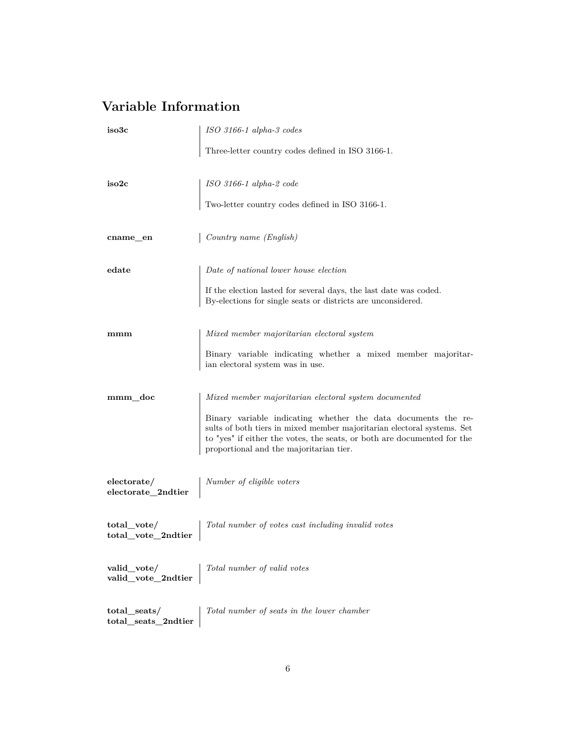# <span id="page-5-0"></span>**Variable Information**

<span id="page-5-7"></span><span id="page-5-6"></span><span id="page-5-5"></span><span id="page-5-4"></span><span id="page-5-3"></span><span id="page-5-2"></span><span id="page-5-1"></span>

| iso3c                                  | ISO 3166-1 alpha-3 codes                                                                                                                                                                                                                                       |
|----------------------------------------|----------------------------------------------------------------------------------------------------------------------------------------------------------------------------------------------------------------------------------------------------------------|
|                                        | Three-letter country codes defined in ISO 3166-1.                                                                                                                                                                                                              |
| iso2c                                  | ISO 3166-1 alpha-2 code                                                                                                                                                                                                                                        |
|                                        | Two-letter country codes defined in ISO 3166-1.                                                                                                                                                                                                                |
| cname_en                               | Country name (English)                                                                                                                                                                                                                                         |
| edate                                  | Date of national lower house election                                                                                                                                                                                                                          |
|                                        | If the election lasted for several days, the last date was coded.<br>By-elections for single seats or districts are unconsidered.                                                                                                                              |
| mmm                                    | Mixed member majoritarian electoral system                                                                                                                                                                                                                     |
|                                        | Binary variable indicating whether a mixed member majoritar-<br>ian electoral system was in use.                                                                                                                                                               |
| mmm_doc                                | Mixed member majoritarian electoral system documented                                                                                                                                                                                                          |
|                                        | Binary variable indicating whether the data documents the re-<br>sults of both tiers in mixed member majoritarian electoral systems. Set<br>to "yes" if either the votes, the seats, or both are documented for the<br>proportional and the majoritarian tier. |
| electorate/<br>electorate_2ndtier      | Number of eligible voters                                                                                                                                                                                                                                      |
| $total\_vote/$<br>total_vote_2ndtier   | Total number of votes cast including invalid votes                                                                                                                                                                                                             |
| valid_vote/<br>valid_vote_2ndtier      | Total number of valid votes                                                                                                                                                                                                                                    |
| $total\_seats/$<br>total seats 2ndtier | Total number of seats in the lower chamber                                                                                                                                                                                                                     |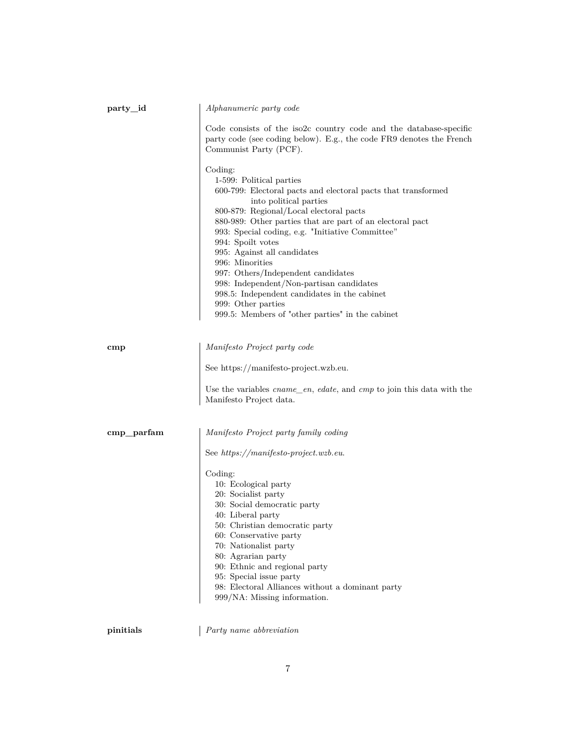<span id="page-6-1"></span><span id="page-6-0"></span>

| Alphanumeric party code                                                                                                                                                                                                                                                                                                                                                                                                                                                                                                                                                       |
|-------------------------------------------------------------------------------------------------------------------------------------------------------------------------------------------------------------------------------------------------------------------------------------------------------------------------------------------------------------------------------------------------------------------------------------------------------------------------------------------------------------------------------------------------------------------------------|
| Code consists of the iso2c country code and the database-specific<br>party code (see coding below). E.g., the code FR9 denotes the French<br>Communist Party (PCF).                                                                                                                                                                                                                                                                                                                                                                                                           |
| Coding:<br>1-599: Political parties<br>600-799: Electoral pacts and electoral pacts that transformed<br>into political parties<br>800-879: Regional/Local electoral pacts<br>880-989: Other parties that are part of an electoral pact<br>993: Special coding, e.g. "Initiative Committee"<br>994: Spoilt votes<br>995: Against all candidates<br>996: Minorities<br>997: Others/Independent candidates<br>998: Independent/Non-partisan candidates<br>998.5: Independent candidates in the cabinet<br>999: Other parties<br>999.5: Members of "other parties" in the cabinet |
| Manifesto Project party code                                                                                                                                                                                                                                                                                                                                                                                                                                                                                                                                                  |
| See https://manifesto-project.wzb.eu.                                                                                                                                                                                                                                                                                                                                                                                                                                                                                                                                         |
| Use the variables $cname\_en$ , edate, and $cmp$ to join this data with the<br>Manifesto Project data.                                                                                                                                                                                                                                                                                                                                                                                                                                                                        |
| Manifesto Project party family coding                                                                                                                                                                                                                                                                                                                                                                                                                                                                                                                                         |
| See https://manifesto-project.wzb.eu.                                                                                                                                                                                                                                                                                                                                                                                                                                                                                                                                         |
| Coding:<br>10: Ecological party<br>20: Socialist party<br>30: Social democratic party<br>40: Liberal party<br>50: Christian democratic party<br>60: Conservative party<br>70: Nationalist party<br>80: Agrarian party<br>90: Ethnic and regional party<br>95: Special issue party<br>98: Electoral Alliances without a dominant party<br>999/NA: Missing information.                                                                                                                                                                                                         |
|                                                                                                                                                                                                                                                                                                                                                                                                                                                                                                                                                                               |

**pinitials** *Party name abbreviation*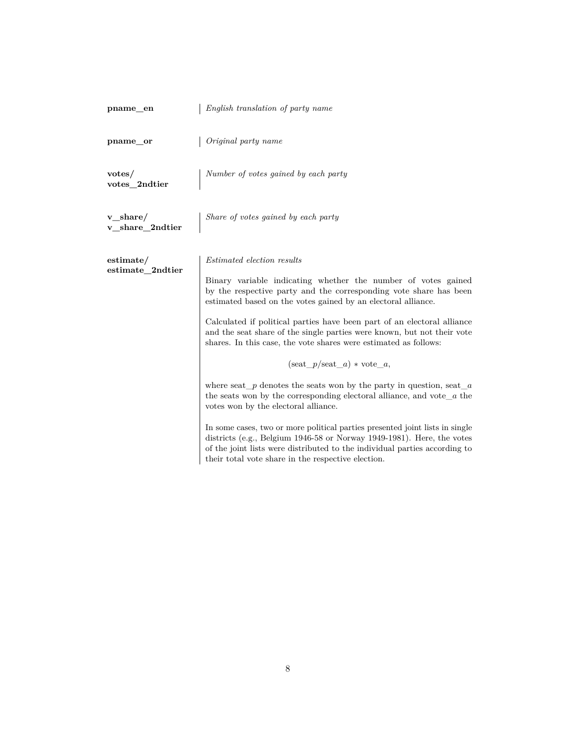<span id="page-7-2"></span><span id="page-7-1"></span><span id="page-7-0"></span>

| pname_en                        | English translation of party name                                                                                                                                                                                                                                                                                                                                                                                                                                                                                                                                                                                                                                                                                                                                                                                                                                                        |
|---------------------------------|------------------------------------------------------------------------------------------------------------------------------------------------------------------------------------------------------------------------------------------------------------------------------------------------------------------------------------------------------------------------------------------------------------------------------------------------------------------------------------------------------------------------------------------------------------------------------------------------------------------------------------------------------------------------------------------------------------------------------------------------------------------------------------------------------------------------------------------------------------------------------------------|
| pname_or                        | Original party name                                                                                                                                                                                                                                                                                                                                                                                                                                                                                                                                                                                                                                                                                                                                                                                                                                                                      |
| votes/<br>votes_2ndtier         | Number of votes gained by each party                                                                                                                                                                                                                                                                                                                                                                                                                                                                                                                                                                                                                                                                                                                                                                                                                                                     |
| $v_{share}/$<br>v_share_2ndtier | Share of votes gained by each party                                                                                                                                                                                                                                                                                                                                                                                                                                                                                                                                                                                                                                                                                                                                                                                                                                                      |
| estimate/<br>estimate_2ndtier   | <i>Estimated election results</i><br>Binary variable indicating whether the number of votes gained<br>by the respective party and the corresponding vote share has been<br>estimated based on the votes gained by an electoral alliance.<br>Calculated if political parties have been part of an electoral alliance<br>and the seat share of the single parties were known, but not their vote<br>shares. In this case, the vote shares were estimated as follows:<br>$(\text{seat } p / \text{seat } a) * \text{vote } a,$<br>where seat $\mu$ denotes the seats won by the party in question, seat $\mu$<br>the seats won by the corresponding electoral alliance, and vote_ $a$ the<br>votes won by the electoral alliance.<br>In some cases, two or more political parties presented joint lists in single<br>districts (e.g., Belgium 1946-58 or Norway 1949-1981). Here, the votes |
|                                 | of the joint lists were distributed to the individual parties according to<br>their total vote share in the respective election.                                                                                                                                                                                                                                                                                                                                                                                                                                                                                                                                                                                                                                                                                                                                                         |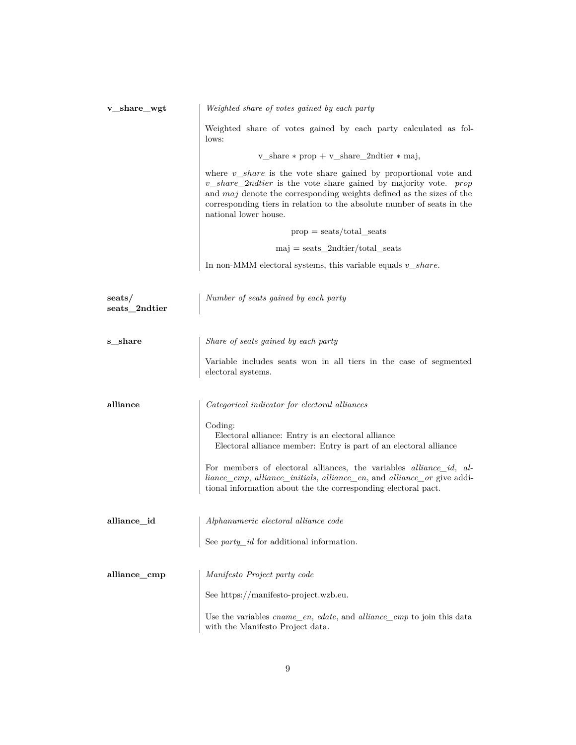<span id="page-8-2"></span><span id="page-8-1"></span><span id="page-8-0"></span>

| v share wgt             | Weighted share of votes gained by each party                                                                                                                                                                                                                                                                                       |
|-------------------------|------------------------------------------------------------------------------------------------------------------------------------------------------------------------------------------------------------------------------------------------------------------------------------------------------------------------------------|
|                         | Weighted share of votes gained by each party calculated as fol-<br>lows:                                                                                                                                                                                                                                                           |
|                         | v_share $*$ prop + v_share_2ndtier $*$ maj,                                                                                                                                                                                                                                                                                        |
|                         | where $v\_share$ is the vote share gained by proportional vote and<br>$v\_share\_2ndtier$ is the vote share gained by majority vote. <i>prop</i><br>and <i>maj</i> denote the corresponding weights defined as the sizes of the<br>corresponding tiers in relation to the absolute number of seats in the<br>national lower house. |
|                         | $prop = \text{seats}/\text{total}\_\text{seats}$                                                                                                                                                                                                                                                                                   |
|                         | $maj = seats\_2ndtier/total\_seats$                                                                                                                                                                                                                                                                                                |
|                         | In non-MMM electoral systems, this variable equals $v\_share.$                                                                                                                                                                                                                                                                     |
| seats/<br>seats 2ndtier | Number of seats gained by each party                                                                                                                                                                                                                                                                                               |
| s share                 | Share of seats gained by each party                                                                                                                                                                                                                                                                                                |
|                         | Variable includes seats won in all tiers in the case of segmented<br>electoral systems.                                                                                                                                                                                                                                            |
| alliance                | Categorical indicator for electoral alliances                                                                                                                                                                                                                                                                                      |
|                         | Coding:<br>Electoral alliance: Entry is an electoral alliance<br>Electoral alliance member: Entry is part of an electoral alliance                                                                                                                                                                                                 |
|                         | For members of electoral alliances, the variables <i>alliance_id</i> , <i>al-</i><br>liance_cmp, alliance_initials, alliance_en, and alliance_or give addi-<br>tional information about the the corresponding electoral pact.                                                                                                      |
| alliance_id             | Alphanumeric electoral alliance code                                                                                                                                                                                                                                                                                               |
|                         | See $party\_id$ for additional information.                                                                                                                                                                                                                                                                                        |
| alliance_cmp            | Manifesto Project party code                                                                                                                                                                                                                                                                                                       |
|                         | See https://manifesto-project.wzb.eu.                                                                                                                                                                                                                                                                                              |
|                         | Use the variables cname_en, edate, and alliance_cmp to join this data<br>with the Manifesto Project data.                                                                                                                                                                                                                          |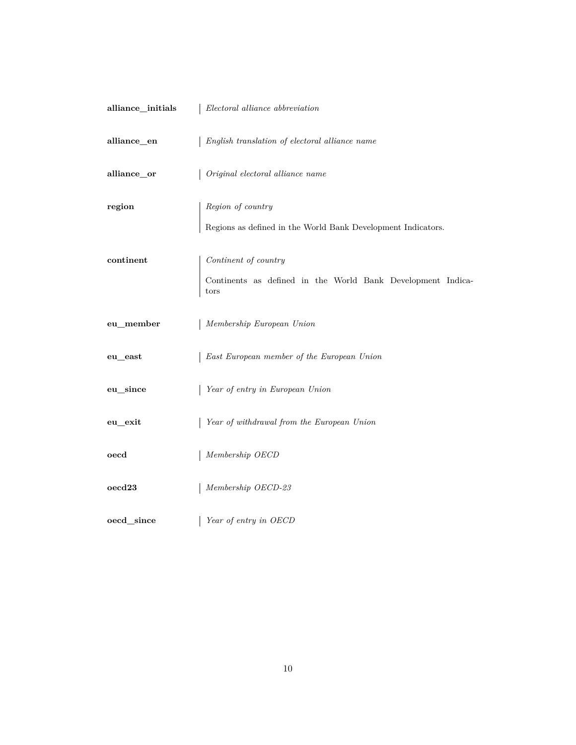<span id="page-9-3"></span><span id="page-9-2"></span><span id="page-9-1"></span><span id="page-9-0"></span>

| alliance_initials          | Electoral alliance abbreviation                                                             |
|----------------------------|---------------------------------------------------------------------------------------------|
| alliance_en                | English translation of electoral alliance name                                              |
| alliance_or                | Original electoral alliance name                                                            |
| region                     | Region of country<br>Regions as defined in the World Bank Development Indicators. $\;$      |
| continent                  | Continent of country<br>Continents as defined in the World Bank Development Indica-<br>tors |
| eu_member                  | Membership European Union                                                                   |
| eu east                    | East European member of the European Union                                                  |
| eu_since                   | Year of entry in European Union                                                             |
| eu_exit                    | Year of withdrawal from the European Union                                                  |
| oecd                       | Membership OECD                                                                             |
| $\mathrm{o}\mathrm{ecd}23$ | Membership OECD-23                                                                          |
| oecd_since                 | Year of entry in OECD                                                                       |